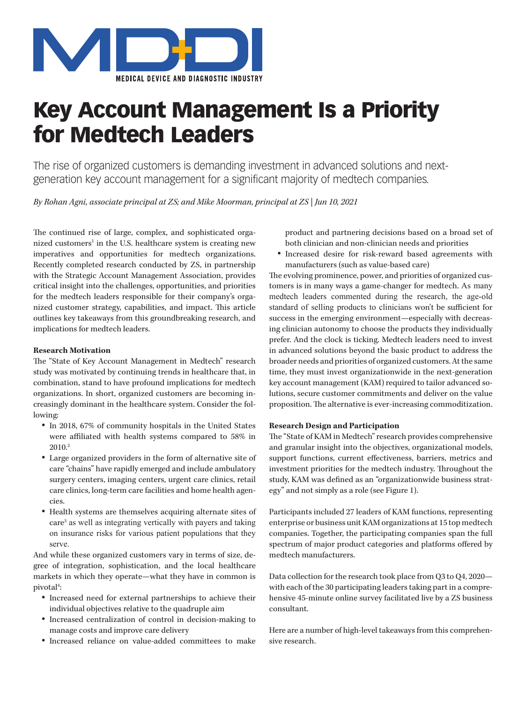

# Key Account Management Is a Priority for Medtech Leaders

The rise of organized customers is demanding investment in advanced solutions and nextgeneration key account management for a significant majority of medtech companies.

*By Rohan Agni, associate principal at ZS; and Mike Moorman, principal at ZS | Jun 10, 2021*

The continued rise of large, complex, and sophisticated organized customers<sup>1</sup> in the U.S. healthcare system is creating new imperatives and opportunities for medtech organizations. Recently completed research conducted by ZS, in partnership with the Strategic Account Management Association, provides critical insight into the challenges, opportunities, and priorities for the medtech leaders responsible for their company's organized customer strategy, capabilities, and impact. This article outlines key takeaways from this groundbreaking research, and implications for medtech leaders.

### **Research Motivation**

The "State of Key Account Management in Medtech" research study was motivated by continuing trends in healthcare that, in combination, stand to have profound implications for medtech organizations. In short, organized customers are becoming increasingly dominant in the healthcare system. Consider the following:

- In 2018, 67% of community hospitals in the United States were affiliated with health systems compared to 58% in 2010.2
- • Large organized providers in the form of alternative site of care "chains" have rapidly emerged and include ambulatory surgery centers, imaging centers, urgent care clinics, retail care clinics, long-term care facilities and home health agencies.
- • Health systems are themselves acquiring alternate sites of care3 as well as integrating vertically with payers and taking on insurance risks for various patient populations that they serve.

And while these organized customers vary in terms of size, degree of integration, sophistication, and the local healthcare markets in which they operate—what they have in common is pivotal<sup>4</sup>:

- • Increased need for external partnerships to achieve their individual objectives relative to the quadruple aim
- • Increased centralization of control in decision-making to manage costs and improve care delivery
- • Increased reliance on value-added committees to make

product and partnering decisions based on a broad set of both clinician and non-clinician needs and priorities

• Increased desire for risk-reward based agreements with manufacturers (such as value-based care)

The evolving prominence, power, and priorities of organized customers is in many ways a game-changer for medtech. As many medtech leaders commented during the research, the age-old standard of selling products to clinicians won't be sufficient for success in the emerging environment—especially with decreasing clinician autonomy to choose the products they individually prefer. And the clock is ticking. Medtech leaders need to invest in advanced solutions beyond the basic product to address the broader needs and priorities of organized customers. At the same time, they must invest organizationwide in the next-generation key account management (KAM) required to tailor advanced solutions, secure customer commitments and deliver on the value proposition. The alternative is ever-increasing commoditization.

## **Research Design and Participation**

The "State of KAM in Medtech" research provides comprehensive and granular insight into the objectives, organizational models, support functions, current effectiveness, barriers, metrics and investment priorities for the medtech industry. Throughout the study, KAM was defined as an "organizationwide business strategy" and not simply as a role (see Figure 1).

Participants included 27 leaders of KAM functions, representing enterprise or business unit KAM organizations at 15 top medtech companies. Together, the participating companies span the full spectrum of major product categories and platforms offered by medtech manufacturers.

Data collection for the research took place from Q3 to Q4, 2020 with each of the 30 participating leaders taking part in a comprehensive 45-minute online survey facilitated live by a ZS business consultant.

Here are a number of high-level takeaways from this comprehensive research.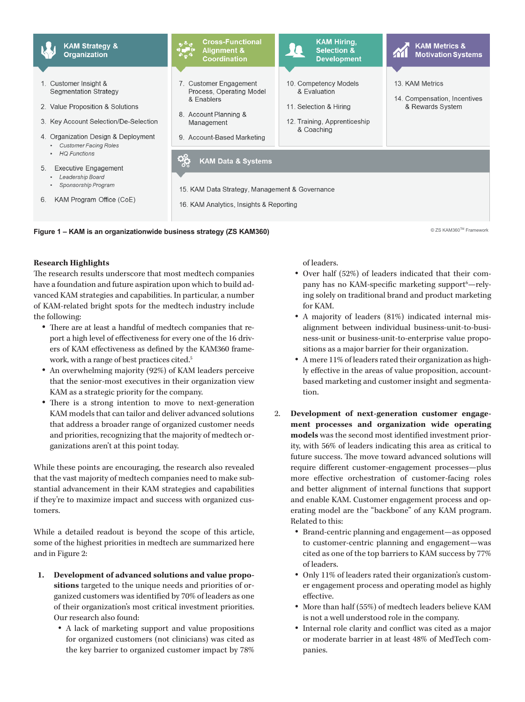

#### **Research Highlights**

The research results underscore that most medtech companies have a foundation and future aspiration upon which to build advanced KAM strategies and capabilities. In particular, a number of KAM-related bright spots for the medtech industry include the following:

- There are at least a handful of medtech companies that report a high level of effectiveness for every one of the 16 drivers of KAM effectiveness as defined by the KAM360 framework, with a range of best practices cited.<sup>5</sup>
- An overwhelming majority (92%) of KAM leaders perceive that the senior-most executives in their organization view KAM as a strategic priority for the company.
- There is a strong intention to move to next-generation KAM models that can tailor and deliver advanced solutions that address a broader range of organized customer needs and priorities, recognizing that the majority of medtech organizations aren't at this point today.

While these points are encouraging, the research also revealed that the vast majority of medtech companies need to make substantial advancement in their KAM strategies and capabilities if they're to maximize impact and success with organized customers.

While a detailed readout is beyond the scope of this article, some of the highest priorities in medtech are summarized here and in Figure 2:

- **1. Development of advanced solutions and value propositions** targeted to the unique needs and priorities of organized customers was identified by 70% of leaders as one of their organization's most critical investment priorities. Our research also found:
	- A lack of marketing support and value propositions for organized customers (not clinicians) was cited as the key barrier to organized customer impact by 78%

of leaders.

- • Over half (52%) of leaders indicated that their company has no KAM-specific marketing support<sup>6</sup>-relying solely on traditional brand and product marketing for KAM.
- A majority of leaders (81%) indicated internal misalignment between individual business-unit-to-business-unit or business-unit-to-enterprise value propositions as a major barrier for their organization.
- • A mere 11% of leaders rated their organization as highly effective in the areas of value proposition, accountbased marketing and customer insight and segmentation.
- 2. **Development of next-generation customer engagement processes and organization wide operating models** was the second most identified investment priority, with 56% of leaders indicating this area as critical to future success. The move toward advanced solutions will require different customer-engagement processes—plus more effective orchestration of customer-facing roles and better alignment of internal functions that support and enable KAM. Customer engagement process and operating model are the "backbone" of any KAM program. Related to this:
	- • Brand-centric planning and engagement—as opposed to customer-centric planning and engagement—was cited as one of the top barriers to KAM success by 77% of leaders.
	- • Only 11% of leaders rated their organization's customer engagement process and operating model as highly effective.
	- More than half (55%) of medtech leaders believe KAM is not a well understood role in the company.
	- Internal role clarity and conflict was cited as a major or moderate barrier in at least 48% of MedTech companies.